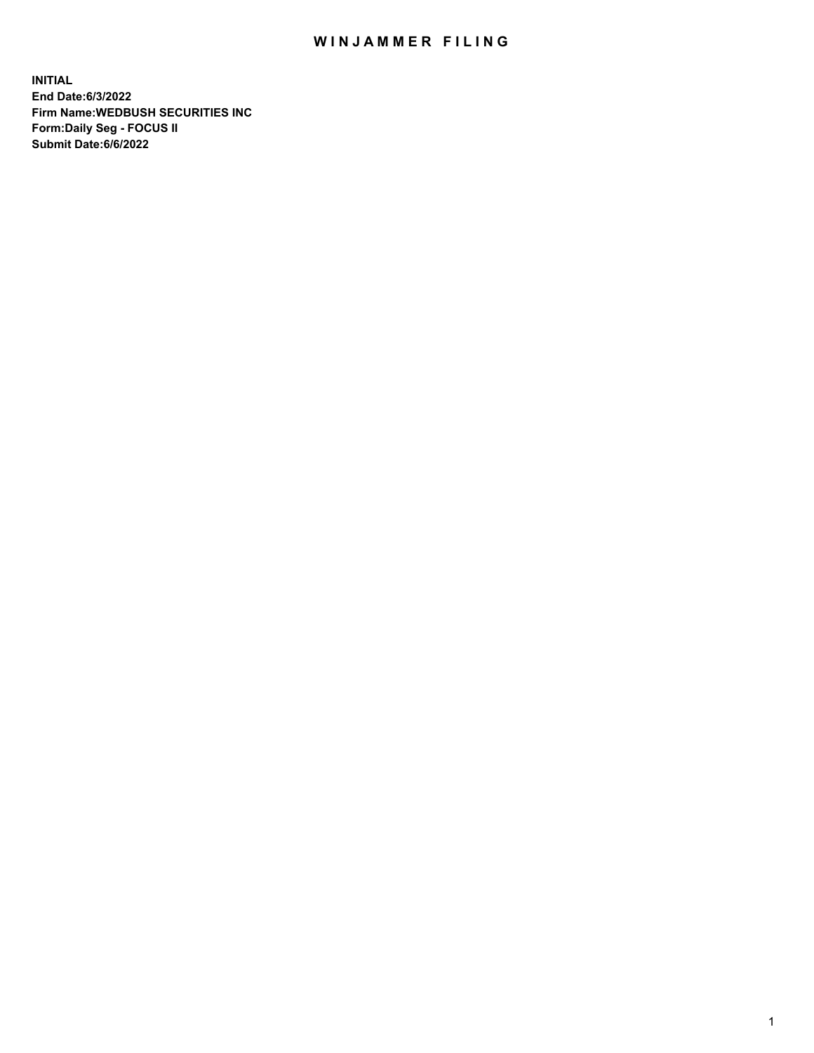## WIN JAMMER FILING

**INITIAL End Date:6/3/2022 Firm Name:WEDBUSH SECURITIES INC Form:Daily Seg - FOCUS II Submit Date:6/6/2022**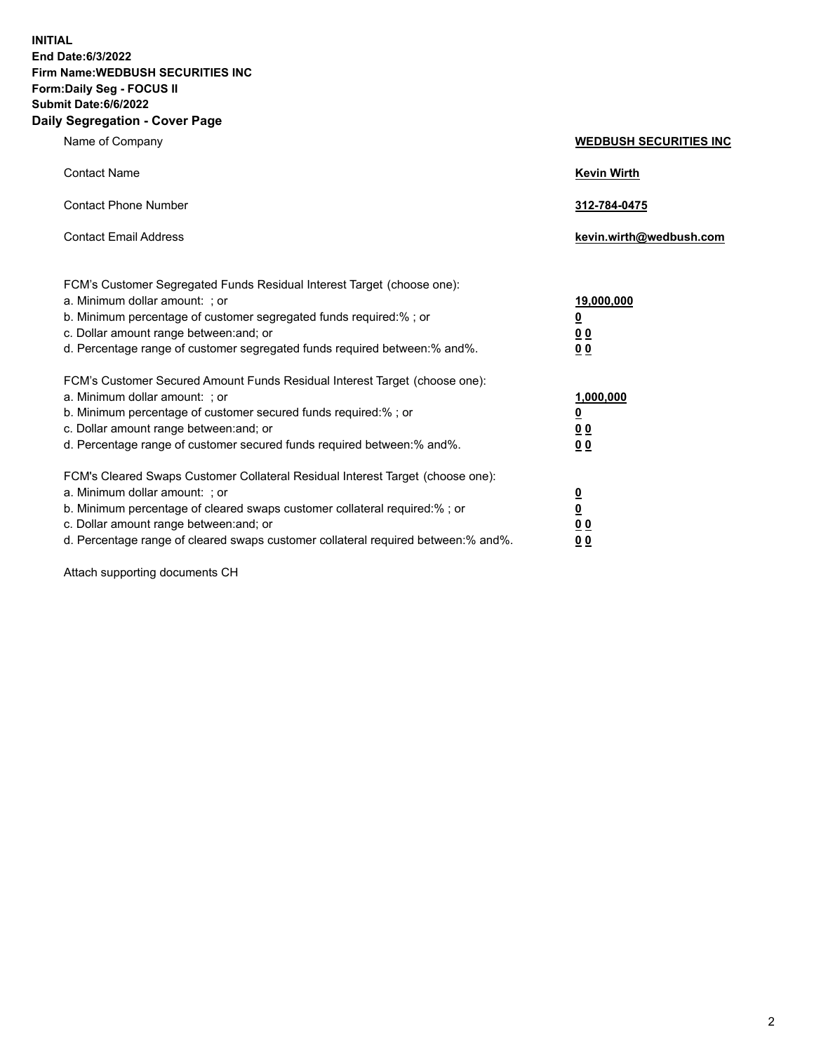**INITIAL End Date:6/3/2022 Firm Name:WEDBUSH SECURITIES INC Form:Daily Seg - FOCUS II Submit Date:6/6/2022 Daily Segregation - Cover Page**

| Name of Company                                                                                                                                                                                                                                                                                                                | <b>WEDBUSH SECURITIES INC</b>                         |  |
|--------------------------------------------------------------------------------------------------------------------------------------------------------------------------------------------------------------------------------------------------------------------------------------------------------------------------------|-------------------------------------------------------|--|
| <b>Contact Name</b>                                                                                                                                                                                                                                                                                                            | <b>Kevin Wirth</b>                                    |  |
| <b>Contact Phone Number</b>                                                                                                                                                                                                                                                                                                    | 312-784-0475                                          |  |
| <b>Contact Email Address</b>                                                                                                                                                                                                                                                                                                   | kevin.wirth@wedbush.com                               |  |
| FCM's Customer Segregated Funds Residual Interest Target (choose one):<br>a. Minimum dollar amount: ; or<br>b. Minimum percentage of customer segregated funds required:% ; or<br>c. Dollar amount range between: and; or<br>d. Percentage range of customer segregated funds required between:% and%.                         | 19,000,000<br><u>0</u><br><u>00</u><br>0 <sub>0</sub> |  |
| FCM's Customer Secured Amount Funds Residual Interest Target (choose one):<br>a. Minimum dollar amount: ; or<br>b. Minimum percentage of customer secured funds required:%; or<br>c. Dollar amount range between: and; or<br>d. Percentage range of customer secured funds required between:% and%.                            | 1,000,000<br><u>0</u><br><u>00</u><br>0 <sub>0</sub>  |  |
| FCM's Cleared Swaps Customer Collateral Residual Interest Target (choose one):<br>a. Minimum dollar amount: ; or<br>b. Minimum percentage of cleared swaps customer collateral required:% ; or<br>c. Dollar amount range between: and; or<br>d. Percentage range of cleared swaps customer collateral required between:% and%. | $\frac{0}{0}$<br>00<br>00                             |  |

Attach supporting documents CH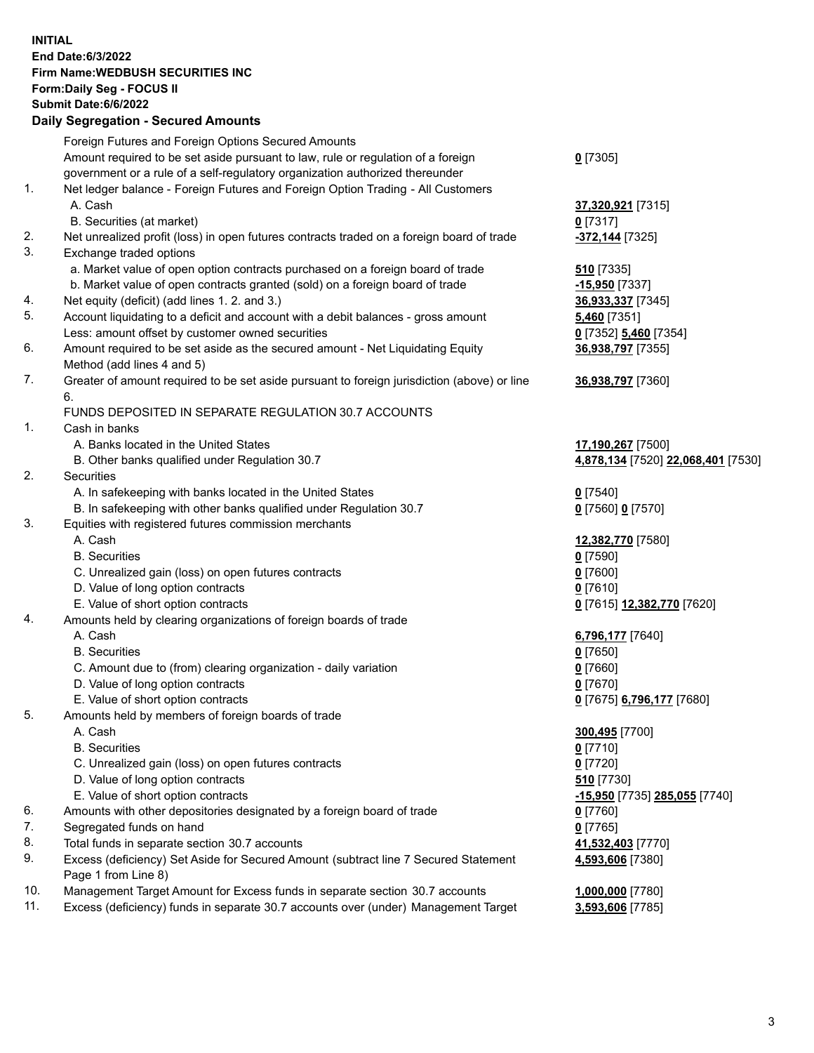**INITIAL End Date:6/3/2022 Firm Name:WEDBUSH SECURITIES INC Form:Daily Seg - FOCUS II Submit Date:6/6/2022 Daily Segregation - Secured Amounts**

|     | Foreign Futures and Foreign Options Secured Amounts                                         |                                           |
|-----|---------------------------------------------------------------------------------------------|-------------------------------------------|
|     | Amount required to be set aside pursuant to law, rule or regulation of a foreign            | $0$ [7305]                                |
|     | government or a rule of a self-regulatory organization authorized thereunder                |                                           |
| 1.  | Net ledger balance - Foreign Futures and Foreign Option Trading - All Customers             |                                           |
|     | A. Cash                                                                                     | 37,320,921 [7315]                         |
|     | B. Securities (at market)                                                                   | $0$ [7317]                                |
| 2.  | Net unrealized profit (loss) in open futures contracts traded on a foreign board of trade   | -372,144 [7325]                           |
| 3.  | Exchange traded options                                                                     |                                           |
|     | a. Market value of open option contracts purchased on a foreign board of trade              | 510 [7335]                                |
|     | b. Market value of open contracts granted (sold) on a foreign board of trade                | -15,950 [7337]                            |
| 4.  | Net equity (deficit) (add lines 1.2. and 3.)                                                | 36,933,337 [7345]                         |
| 5.  | Account liquidating to a deficit and account with a debit balances - gross amount           | <b>5,460</b> [7351]                       |
|     | Less: amount offset by customer owned securities                                            | 0 [7352] 5,460 [7354]                     |
| 6.  | Amount required to be set aside as the secured amount - Net Liquidating Equity              | 36,938,797 [7355]                         |
|     | Method (add lines 4 and 5)                                                                  |                                           |
| 7.  | Greater of amount required to be set aside pursuant to foreign jurisdiction (above) or line | 36,938,797 [7360]                         |
|     | 6.                                                                                          |                                           |
|     | FUNDS DEPOSITED IN SEPARATE REGULATION 30.7 ACCOUNTS                                        |                                           |
| 1.  | Cash in banks                                                                               |                                           |
|     | A. Banks located in the United States                                                       | 17,190,267 [7500]                         |
|     | B. Other banks qualified under Regulation 30.7                                              | <u>4,878,134</u> [7520] 22,068,401 [7530] |
| 2.  | Securities                                                                                  |                                           |
|     | A. In safekeeping with banks located in the United States                                   | $Q$ [7540]                                |
|     | B. In safekeeping with other banks qualified under Regulation 30.7                          | 0 <sup>[7560]</sup> 0 <sup>[7570]</sup>   |
| 3.  | Equities with registered futures commission merchants                                       |                                           |
|     | A. Cash                                                                                     | 12,382,770 [7580]                         |
|     | <b>B.</b> Securities                                                                        | $0$ [7590]                                |
|     | C. Unrealized gain (loss) on open futures contracts                                         | $0$ [7600]                                |
|     | D. Value of long option contracts                                                           | $0$ [7610]                                |
|     | E. Value of short option contracts                                                          | 0 [7615] 12,382,770 [7620]                |
| 4.  | Amounts held by clearing organizations of foreign boards of trade                           |                                           |
|     | A. Cash                                                                                     | 6,796,177 [7640]                          |
|     | <b>B.</b> Securities                                                                        | $0$ [7650]                                |
|     | C. Amount due to (from) clearing organization - daily variation                             | $0$ [7660]                                |
|     | D. Value of long option contracts                                                           | $0$ [7670]                                |
|     | E. Value of short option contracts                                                          | 0 [7675] 6,796,177 [7680]                 |
| 5.  | Amounts held by members of foreign boards of trade                                          |                                           |
|     | A. Cash                                                                                     | 300,495 [7700]                            |
|     | <b>B.</b> Securities                                                                        | $0$ [7710]                                |
|     | C. Unrealized gain (loss) on open futures contracts                                         | $0$ [7720]                                |
|     | D. Value of long option contracts                                                           | 510 [7730]                                |
|     | E. Value of short option contracts                                                          | -15,950 [7735] 285,055 [7740]             |
| 6.  | Amounts with other depositories designated by a foreign board of trade                      | $0$ [7760]                                |
| 7.  | Segregated funds on hand                                                                    | $0$ [7765]                                |
| 8.  | Total funds in separate section 30.7 accounts                                               | 41,532,403 [7770]                         |
| 9.  | Excess (deficiency) Set Aside for Secured Amount (subtract line 7 Secured Statement         | 4,593,606 [7380]                          |
|     | Page 1 from Line 8)                                                                         |                                           |
| 10. | Management Target Amount for Excess funds in separate section 30.7 accounts                 | 1,000,000 [7780]                          |
| 11. | Excess (deficiency) funds in separate 30.7 accounts over (under) Management Target          | 3,593,606 [7785]                          |
|     |                                                                                             |                                           |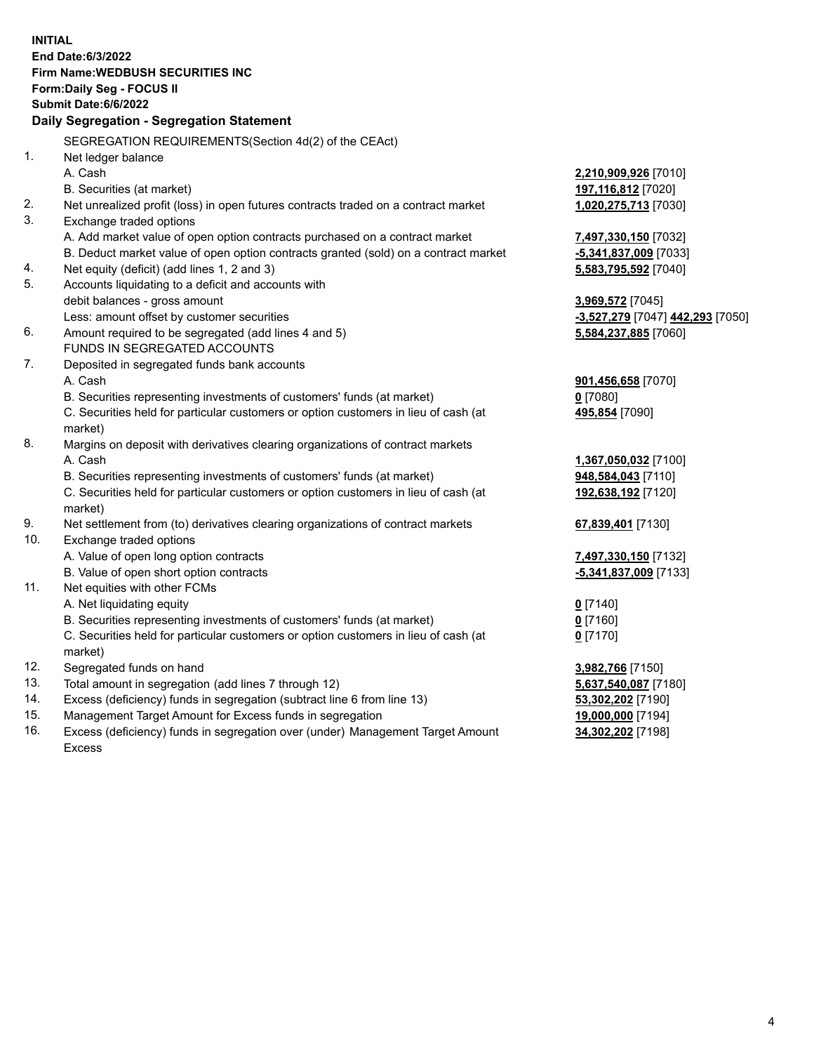|                | <b>INITIAL</b>                                                                      |                                                      |
|----------------|-------------------------------------------------------------------------------------|------------------------------------------------------|
|                | End Date: 6/3/2022                                                                  |                                                      |
|                | <b>Firm Name: WEDBUSH SECURITIES INC</b>                                            |                                                      |
|                | Form: Daily Seg - FOCUS II                                                          |                                                      |
|                | Submit Date: 6/6/2022                                                               |                                                      |
|                | Daily Segregation - Segregation Statement                                           |                                                      |
|                | SEGREGATION REQUIREMENTS(Section 4d(2) of the CEAct)                                |                                                      |
| 1 <sub>1</sub> | Net ledger balance                                                                  |                                                      |
|                | A. Cash                                                                             | 2,210,909,926 [7010]                                 |
|                | B. Securities (at market)                                                           | 197,116,812 [7020]                                   |
| 2.             | Net unrealized profit (loss) in open futures contracts traded on a contract market  | 1,020,275,713 [7030]                                 |
| 3.             | Exchange traded options                                                             |                                                      |
|                | A. Add market value of open option contracts purchased on a contract market         | 7,497,330,150 [7032]                                 |
|                | B. Deduct market value of open option contracts granted (sold) on a contract market | -5,341,837,009 [7033]                                |
| 4.             | Net equity (deficit) (add lines 1, 2 and 3)                                         | 5,583,795,592 [7040]                                 |
| 5.             | Accounts liquidating to a deficit and accounts with                                 |                                                      |
|                | debit balances - gross amount                                                       | 3,969,572 [7045]                                     |
|                | Less: amount offset by customer securities                                          | <mark>-3,527,279</mark> [7047] <b>442,293</b> [7050] |
| 6.             | Amount required to be segregated (add lines 4 and 5)                                | 5,584,237,885 [7060]                                 |
|                | FUNDS IN SEGREGATED ACCOUNTS                                                        |                                                      |
| 7.             | Deposited in segregated funds bank accounts                                         |                                                      |
|                | A. Cash                                                                             | 901,456,658 [7070]                                   |
|                | B. Securities representing investments of customers' funds (at market)              | $0$ [7080]                                           |
|                | C. Securities held for particular customers or option customers in lieu of cash (at | 495,854 [7090]                                       |
|                | market)                                                                             |                                                      |
| 8.             | Margins on deposit with derivatives clearing organizations of contract markets      |                                                      |
|                | A. Cash                                                                             | 1,367,050,032 [7100]                                 |
|                | B. Securities representing investments of customers' funds (at market)              | 948,584,043 [7110]                                   |
|                | C. Securities held for particular customers or option customers in lieu of cash (at | 192,638,192 [7120]                                   |
|                | market)                                                                             |                                                      |
| 9.             | Net settlement from (to) derivatives clearing organizations of contract markets     | 67,839,401 [7130]                                    |
| 10.            | Exchange traded options                                                             |                                                      |
|                | A. Value of open long option contracts                                              | 7,497,330,150 [7132]                                 |
|                | B. Value of open short option contracts                                             | -5,341,837,009 [7133]                                |
| 11.            | Net equities with other FCMs                                                        |                                                      |
|                | A. Net liquidating equity                                                           | $0$ [7140]                                           |
|                | B. Securities representing investments of customers' funds (at market)              | $0$ [7160]                                           |
|                | C. Securities held for particular customers or option customers in lieu of cash (at | $0$ [7170]                                           |
|                | market)                                                                             |                                                      |
| 12.            | Segregated funds on hand                                                            | 3,982,766 [7150]                                     |
| 13.            | Total amount in segregation (add lines 7 through 12)                                | 5,637,540,087 [7180]                                 |
| 14.            | Excess (deficiency) funds in segregation (subtract line 6 from line 13)             | 53,302,202 [7190]                                    |
| 15.            | Management Target Amount for Excess funds in segregation                            | 19,000,000 [7194]                                    |
| 16.            | Excess (deficiency) funds in segregation over (under) Management Target Amount      | 34,302,202 [7198]                                    |

16. Excess (deficiency) funds in segregation over (under) Management Target Amount Excess